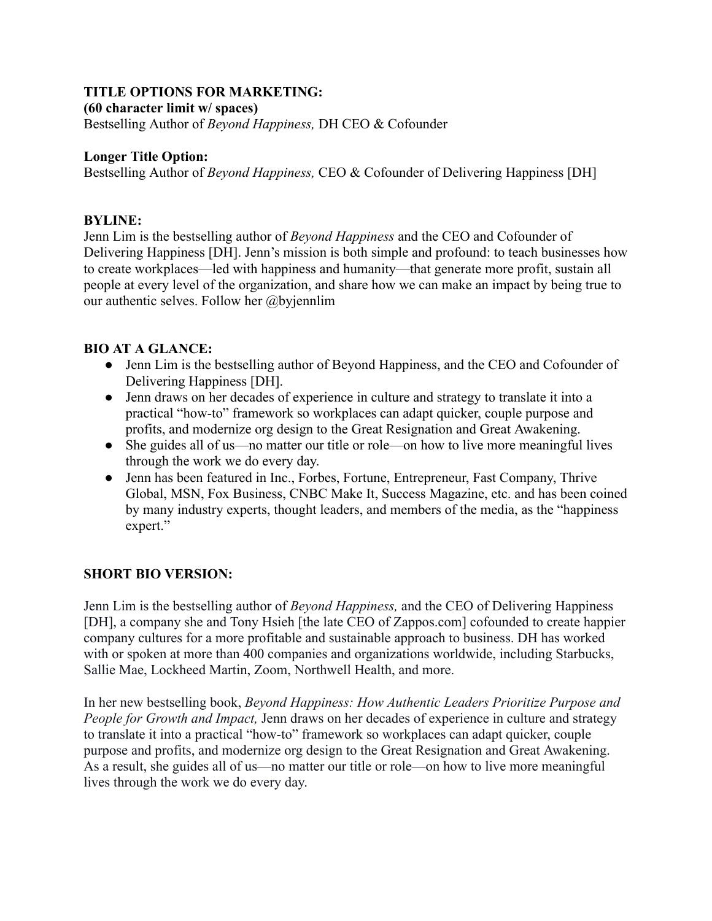### **TITLE OPTIONS FOR MARKETING:**

**(60 character limit w/ spaces)**

Bestselling Author of *Beyond Happiness,* DH CEO & Cofounder

### **Longer Title Option:**

Bestselling Author of *Beyond Happiness,* CEO & Cofounder of Delivering Happiness [DH]

## **BYLINE:**

Jenn Lim is the bestselling author of *Beyond Happiness* and the CEO and Cofounder of Delivering Happiness [DH]. Jenn's mission is both simple and profound: to teach businesses how to create workplaces—led with happiness and humanity—that generate more profit, sustain all people at every level of the organization, and share how we can make an impact by being true to our authentic selves. Follow her @byjennlim

## **BIO AT A GLANCE:**

- Jenn Lim is the bestselling author of Beyond Happiness, and the CEO and Cofounder of Delivering Happiness [DH].
- Jenn draws on her decades of experience in culture and strategy to translate it into a practical "how-to" framework so workplaces can adapt quicker, couple purpose and profits, and modernize org design to the Great Resignation and Great Awakening.
- She guides all of us—no matter our title or role—on how to live more meaningful lives through the work we do every day.
- Jenn has been featured in Inc., Forbes, Fortune, Entrepreneur, Fast Company, Thrive Global, MSN, Fox Business, CNBC Make It, Success Magazine, etc. and has been coined by many industry experts, thought leaders, and members of the media, as the "happiness expert."

# **SHORT BIO VERSION:**

Jenn Lim is the bestselling author of *Beyond Happiness,* and the CEO of Delivering Happiness [DH], a company she and Tony Hsieh [the late CEO of Zappos.com] cofounded to create happier company cultures for a more profitable and sustainable approach to business. DH has worked with or spoken at more than 400 companies and organizations worldwide, including Starbucks, Sallie Mae, Lockheed Martin, Zoom, Northwell Health, and more.

In her new bestselling book, *Beyond Happiness: How Authentic Leaders Prioritize Purpose and People for Growth and Impact,* Jenn draws on her decades of experience in culture and strategy to translate it into a practical "how-to" framework so workplaces can adapt quicker, couple purpose and profits, and modernize org design to the Great Resignation and Great Awakening. As a result, she guides all of us—no matter our title or role—on how to live more meaningful lives through the work we do every day.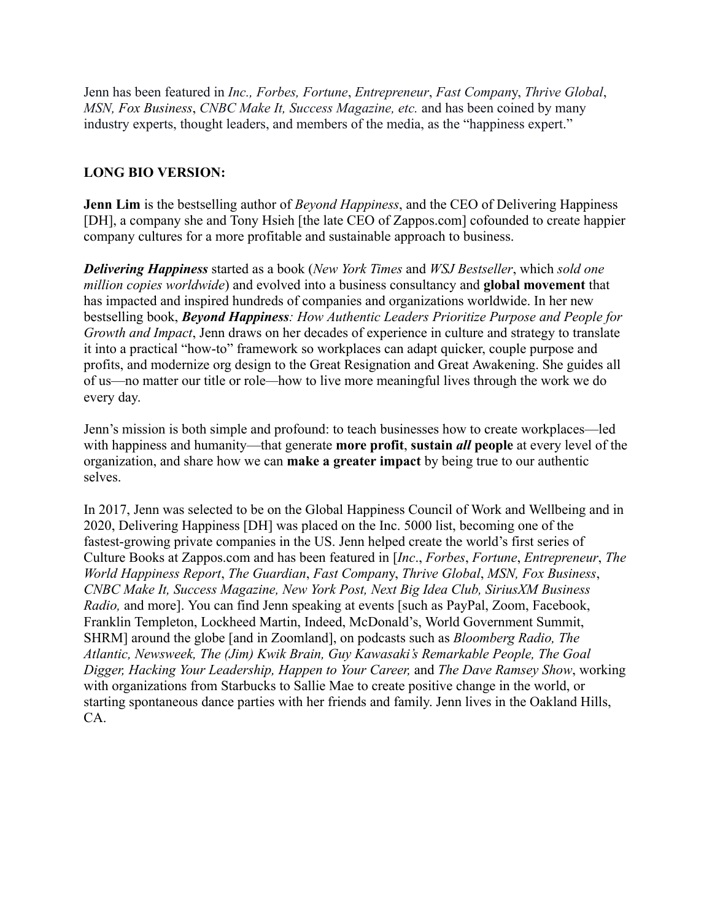Jenn has been featured in *Inc., Forbes, Fortune*, *Entrepreneur*, *Fast Compan*y, *Thrive Global*, *MSN, Fox Business*, *CNBC Make It, Success Magazine, etc.* and has been coined by many industry experts, thought leaders, and members of the media, as the "happiness expert."

## **LONG BIO VERSION:**

**Jenn Lim** is the bestselling author of *Beyond Happiness*, and the CEO of Delivering Happiness [DH], a company she and Tony Hsieh [the late CEO of Zappos.com] cofounded to create happier company cultures for a more profitable and sustainable approach to business.

*Delivering Happiness* started as a book (*New York Times* and *WSJ Bestseller*, which *sold one million copies worldwide*) and evolved into a business consultancy and **global movement** that has impacted and inspired hundreds of companies and organizations worldwide. In her new bestselling book, *Beyond Happiness: How Authentic Leaders Prioritize Purpose and People for Growth and Impact*, Jenn draws on her decades of experience in culture and strategy to translate it into a practical "how-to" framework so workplaces can adapt quicker, couple purpose and profits, and modernize org design to the Great Resignation and Great Awakening. She guides all of us—no matter our title or role*—*how to live more meaningful lives through the work we do every day.

Jenn's mission is both simple and profound: to teach businesses how to create workplaces—led with happiness and humanity—that generate **more profit**, **sustain** *all* **people** at every level of the organization, and share how we can **make a greater impact** by being true to our authentic selves.

In 2017, Jenn was selected to be on the Global Happiness Council of Work and Wellbeing and in 2020, Delivering Happiness [DH] was placed on the Inc. 5000 list, becoming one of the fastest-growing private companies in the US. Jenn helped create the world's first series of Culture Books at Zappos.com and has been featured in [*Inc*., *Forbes*, *Fortune*, *Entrepreneur*, *The World Happiness Report*, *The Guardian*, *Fast Compan*y, *Thrive Global*, *MSN, Fox Business*, *CNBC Make It, Success Magazine, New York Post, Next Big Idea Club, SiriusXM Business Radio,* and more]. You can find Jenn speaking at events [such as PayPal, Zoom, Facebook, Franklin Templeton, Lockheed Martin, Indeed, McDonald's, World Government Summit, SHRM] around the globe [and in Zoomland], on podcasts such as *Bloomberg Radio, The Atlantic, Newsweek, The (Jim) Kwik Brain, Guy Kawasaki's Remarkable People, The Goal Digger, Hacking Your Leadership, Happen to Your Career,* and *The Dave Ramsey Show*, working with organizations from Starbucks to Sallie Mae to create positive change in the world, or starting spontaneous dance parties with her friends and family. Jenn lives in the Oakland Hills, CA.